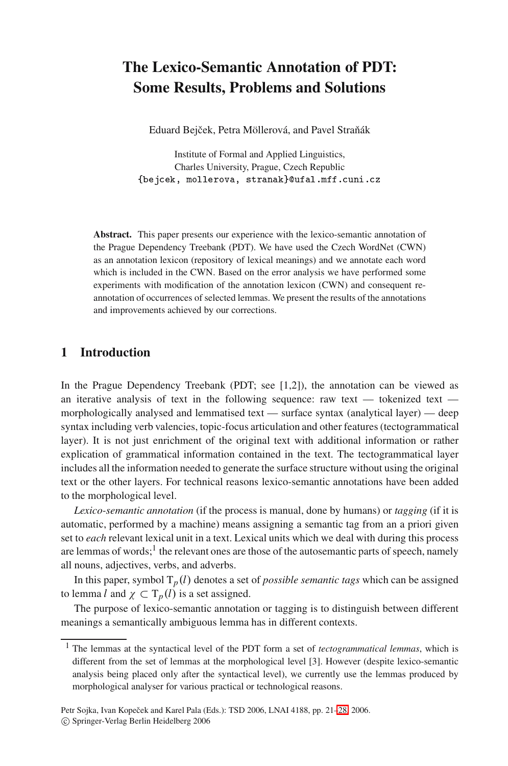# **The Lexico-Semantic Annotation of PDT: Some Results, Problems and Solutions**

Eduard Bejček, Petra Möllerová, and Pavel Straňák

Institute of Formal and Applied Linguistics, Charles University, Prague, Czech Republic - 

**Abstract.** This paper presents our experience with the lexico-semantic annotation of the Prague Dependency Treebank (PDT). We have used the Czech WordNet (CWN) as an annotation lexicon (repository of lexical meanings) and we annotate each word which is included in the CWN. Based on the error analysis we have performed some experiments with modification of the annotation lexicon (CWN) and consequent reannotation of occurrences of selected lemmas. We present the results of the annotations and improvements achieved by our corrections.

## **1 Introduction**

In the Prague Dependency Treebank (PDT; see [1,2]), the annotation can be viewed as an iterative analysis of text in the following sequence: raw text — tokenized text morphologically analysed and lemmatised text — surface syntax (analytical layer) — deep syntax including verb valencies, topic-focus articulation and other features (tectogrammatical layer). It is not just enrichment of the original text with additional information or rather explication of grammatical information contained in the text. The tectogrammatical layer includes all the information needed to generate the surface structure without using the original text or the other layers. For technical reasons lexico-semantic annotations have been added to the morphological level.

*Lexico-semantic annotation* (if the process is manual, done by humans) or *tagging* (if it is automatic, performed by a machine) means assigning a semantic tag from an a priori given set to *each* relevant lexical unit in a text. Lexical units which we deal with during this process are lemmas of words;<sup>1</sup> the relevant ones are those of the autosemantic parts of speech, namely all nouns, adjectives, verbs, and adverbs.

In this paper, symbol  $T_p(l)$  denotes a set of *possible semantic tags* which can be assigned to lemma *l* and  $\chi \subset T_p(l)$  is a set assigned.

The purpose of lexico-semantic annotation or tagging is to distinguish between different meanings a semantically ambiguous lemma has in different contexts.

<sup>1</sup> The lemmas at the syntactical level of the PDT form a set of *tectogrammatical lemmas*, which is different from the set of lemmas at the morphological level [3]. However (despite lexico-semantic analysis being placed only after the syntactical level), we currently use the lemmas produced by morphological analyser for various practical or technological reasons.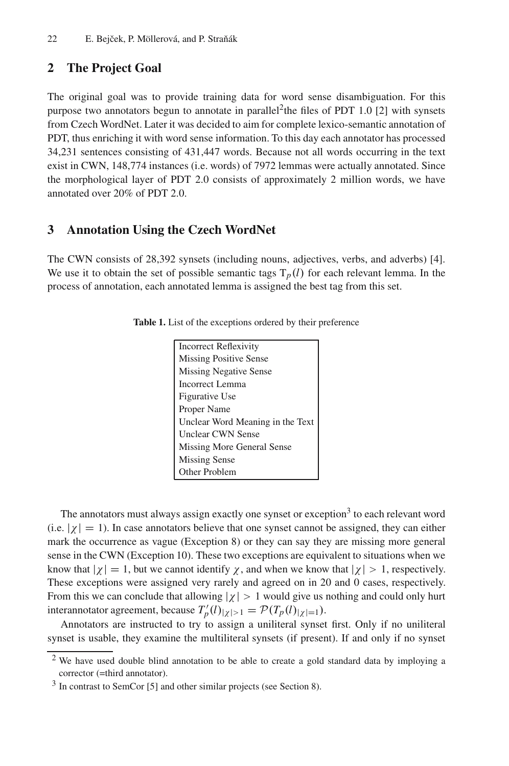## **2 The Project Goal**

The original goal was to provide training data for word sense disambiguation. For this purpose two annotators begun to annotate in parallel<sup>2</sup>the files of PDT 1.0 [2] with synsets from Czech WordNet. Later it was decided to aim for complete lexico-semantic annotation of PDT, thus enriching it with word sense information. To this day each annotator has processed 34,231 sentences consisting of 431,447 words. Because not all words occurring in the text exist in CWN, 148,774 instances (i.e. words) of 7972 lemmas were actually annotated. Since the morphological layer of PDT 2.0 consists of approximately 2 million words, we have annotated over 20% of PDT 2.0.

#### **3 Annotation Using the Czech WordNet**

The CWN consists of 28,392 synsets (including nouns, adjectives, verbs, and adverbs) [4]. We use it to obtain the set of possible semantic tags  $T_p(l)$  for each relevant lemma. In the process of annotation, each annotated lemma is assigned the best tag from this set.

| Table 1. List of the exceptions ordered by their preference |  |  |  |
|-------------------------------------------------------------|--|--|--|
|-------------------------------------------------------------|--|--|--|

| <b>Incorrect Reflexivity</b>     |
|----------------------------------|
| <b>Missing Positive Sense</b>    |
| <b>Missing Negative Sense</b>    |
| Incorrect Lemma                  |
| Figurative Use                   |
| Proper Name                      |
| Unclear Word Meaning in the Text |
| <b>Unclear CWN Sense</b>         |
| Missing More General Sense       |
| <b>Missing Sense</b>             |
| Other Problem                    |

The annotators must always assign exactly one synset or exception<sup>3</sup> to each relevant word (i.e.  $|\chi| = 1$ ). In case annotators believe that one synset cannot be assigned, they can either mark the occurrence as vague (Exception 8) or they can say they are missing more general sense in the CWN (Exception 10). These two exceptions are equivalent to situations when we know that  $|\chi| = 1$ , but we cannot identify  $\chi$ , and when we know that  $|\chi| > 1$ , respectively. These exceptions were assigned very rarely and agreed on in 20 and 0 cases, respectively. From this we can conclude that allowing  $|\chi| > 1$  would give us nothing and could only hurt interannotator agreement, because  $T'_p(l)_{|\chi|>1} = \mathcal{P}(T_p(l)_{|\chi|=1})$ .

Annotators are instructed to try to assign a uniliteral synset first. Only if no uniliteral synset is usable, they examine the multiliteral synsets (if present). If and only if no synset

<sup>&</sup>lt;sup>2</sup> We have used double blind annotation to be able to create a gold standard data by imploying a corrector (=third annotator).

<sup>3</sup> In contrast to SemCor [5] and other similar projects (see Section 8).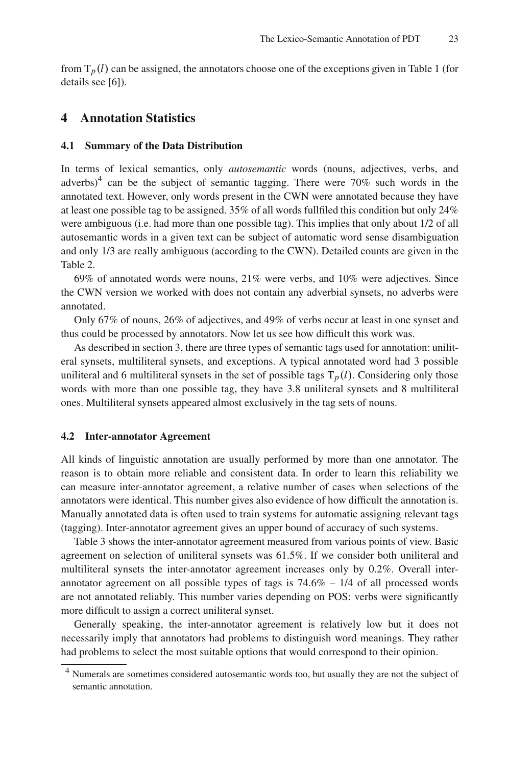from  $T_p(l)$  can be assigned, the annotators choose one of the exceptions given in Table 1 (for details see [6]).

#### **4 Annotation Statistics**

#### **4.1 Summary of the Data Distribution**

In terms of lexical semantics, only *autosemantic* words (nouns, adjectives, verbs, and adverbs)<sup>4</sup> can be the subject of semantic tagging. There were 70% such words in the annotated text. However, only words present in the CWN were annotated because they have at least one possible tag to be assigned. 35% of all words fullfiled this condition but only 24% were ambiguous (i.e. had more than one possible tag). This implies that only about 1/2 of all autosemantic words in a given text can be subject of automatic word sense disambiguation and only 1/3 are really ambiguous (according to the CWN). Detailed counts are given in the Table 2.

69% of annotated words were nouns, 21% were verbs, and 10% were adjectives. Since the CWN version we worked with does not contain any adverbial synsets, no adverbs were annotated.

Only 67% of nouns, 26% of adjectives, and 49% of verbs occur at least in one synset and thus could be processed by annotators. Now let us see how difficult this work was.

As described in section 3, there are three types of semantic tags used for annotation: uniliteral synsets, multiliteral synsets, and exceptions. A typical annotated word had 3 possible uniliteral and 6 multiliteral synsets in the set of possible tags  $T_p(l)$ . Considering only those words with more than one possible tag, they have 3.8 uniliteral synsets and 8 multiliteral ones. Multiliteral synsets appeared almost exclusively in the tag sets of nouns.

#### **4.2 Inter-annotator Agreement**

All kinds of linguistic annotation are usually performed by more than one annotator. The reason is to obtain more reliable and consistent data. In order to learn this reliability we can measure inter-annotator agreement, a relative number of cases when selections of the annotators were identical. This number gives also evidence of how difficult the annotation is. Manually annotated data is often used to train systems for automatic assigning relevant tags (tagging). Inter-annotator agreement gives an upper bound of accuracy of such systems.

Table 3 shows the inter-annotator agreement measured from various points of view. Basic agreement on selection of uniliteral synsets was 61.5%. If we consider both uniliteral and multiliteral synsets the inter-annotator agreement increases only by 0.2%. Overall interannotator agreement on all possible types of tags is  $74.6\% - 1/4$  of all processed words are not annotated reliably. This number varies depending on POS: verbs were significantly more difficult to assign a correct uniliteral synset.

Generally speaking, the inter-annotator agreement is relatively low but it does not necessarily imply that annotators had problems to distinguish word meanings. They rather had problems to select the most suitable options that would correspond to their opinion.

<sup>&</sup>lt;sup>4</sup> Numerals are sometimes considered autosemantic words too, but usually they are not the subject of semantic annotation.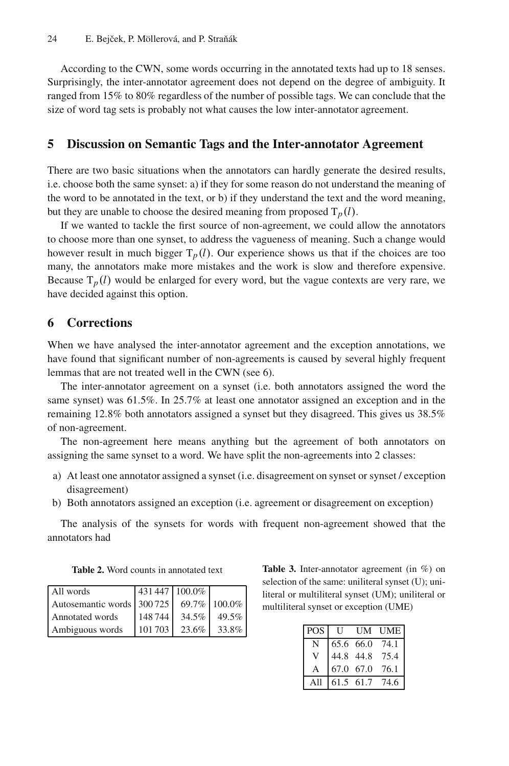According to the CWN, some words occurring in the annotated texts had up to 18 senses. Surprisingly, the inter-annotator agreement does not depend on the degree of ambiguity. It ranged from 15% to 80% regardless of the number of possible tags. We can conclude that the size of word tag sets is probably not what causes the low inter-annotator agreement.

#### **5 Discussion on Semantic Tags and the Inter-annotator Agreement**

There are two basic situations when the annotators can hardly generate the desired results, i.e. choose both the same synset: a) if they for some reason do not understand the meaning of the word to be annotated in the text, or b) if they understand the text and the word meaning, but they are unable to choose the desired meaning from proposed  $T_p(l)$ .

If we wanted to tackle the first source of non-agreement, we could allow the annotators to choose more than one synset, to address the vagueness of meaning. Such a change would however result in much bigger  $T_p(l)$ . Our experience shows us that if the choices are too many, the annotators make more mistakes and the work is slow and therefore expensive. Because  $T_p(l)$  would be enlarged for every word, but the vague contexts are very rare, we have decided against this option.

#### **6 Corrections**

When we have analysed the inter-annotator agreement and the exception annotations, we have found that significant number of non-agreements is caused by several highly frequent lemmas that are not treated well in the CWN (see 6).

The inter-annotator agreement on a synset (i.e. both annotators assigned the word the same synset) was 61.5%. In 25.7% at least one annotator assigned an exception and in the remaining 12.8% both annotators assigned a synset but they disagreed. This gives us 38.5% of non-agreement.

The non-agreement here means anything but the agreement of both annotators on assigning the same synset to a word. We have split the non-agreements into 2 classes:

- a) At least one annotator assigned a synset (i.e. disagreement on synset or synset / exception disagreement)
- b) Both annotators assigned an exception (i.e. agreement or disagreement on exception)

The analysis of the synsets for words with frequent non-agreement showed that the annotators had

| <b>Table 2.</b> Word counts in annotated text |
|-----------------------------------------------|
|-----------------------------------------------|

| All words                 | 431447 100.0% |          |              |
|---------------------------|---------------|----------|--------------|
| Autosemantic words 300725 |               |          | 69.7% 100.0% |
| Annotated words           | 148744        | $34.5\%$ | 49.5%        |
| Ambiguous words           | 101703        | 23.6%    | 33.8%        |

**Table 3.** Inter-annotator agreement (in %) on selection of the same: uniliteral synset (U); uniliteral or multiliteral synset (UM); uniliteral or multiliteral synset or exception (UME)

| POS. | $\mathbf{U}$ |                | UM UME |
|------|--------------|----------------|--------|
|      |              | 65.6 66.0 74.1 |        |
|      |              | 44.8 44.8 75.4 |        |
|      |              | 67.0 67.0      | - 76.1 |
| All  |              | 61.5 61.7      | 74.6   |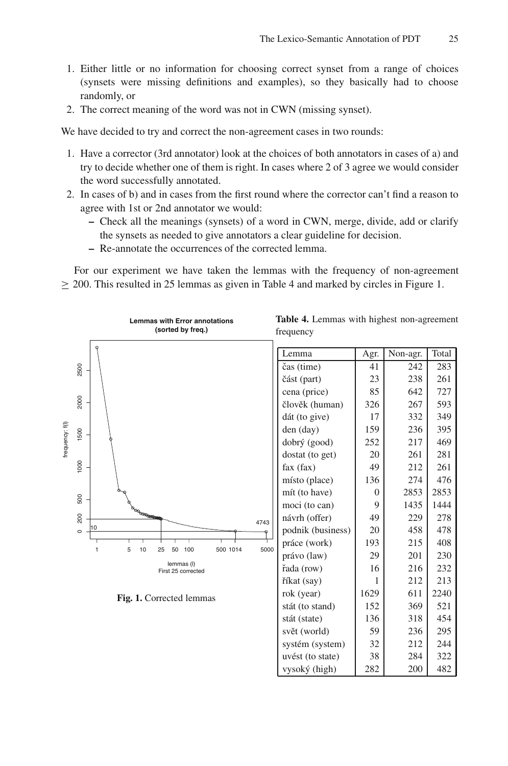- 1. Either little or no information for choosing correct synset from a range of choices (synsets were missing definitions and examples), so they basically had to choose randomly, or
- 2. The correct meaning of the word was not in CWN (missing synset).

We have decided to try and correct the non-agreement cases in two rounds:

- 1. Have a corrector (3rd annotator) look at the choices of both annotators in cases of a) and try to decide whether one of them is right. In cases where 2 of 3 agree we would consider the word successfully annotated.
- 2. In cases of b) and in cases from the first round where the corrector can't find a reason to agree with 1st or 2nd annotator we would:
	- **–** Check all the meanings (synsets) of a word in CWN, merge, divide, add or clarify the synsets as needed to give annotators a clear guideline for decision.
	- **–** Re-annotate the occurrences of the corrected lemma.

For our experiment we have taken the lemmas with the frequency of non-agreement  $\geq$  200. This resulted in 25 lemmas as given in Table 4 and marked by circles in Figure 1.



**Fig. 1.** Corrected lemmas

| Lemma                    | Agr.     | Non-agr. | Total |
|--------------------------|----------|----------|-------|
| čas (time)               | 41       | 242      | 283   |
| část (part)              | 23       | 238      | 261   |
| cena (price)             | 85       | 642      | 727   |
| člověk (human)           | 326      | 267      | 593   |
| dát (to give)            | 17       | 332      | 349   |
| den (day)                | 159      | 236      | 395   |
| dobrý (good)             | 252      | 217      | 469   |
| dostat (to get)          | 20       | 261      | 281   |
| $\text{fax}(\text{fax})$ | 49       | 212      | 261   |
| místo (place)            | 136      | 274      | 476   |
| mít (to have)            | $\theta$ | 2853     | 2853  |
| moci (to can)            | 9        | 1435     | 1444  |
| návrh (offer)            | 49       | 229      | 278   |
| podnik (business)        | 20       | 458      | 478   |
| práce (work)             | 193      | 215      | 408   |
| právo (law)              | 29       | 201      | 230   |
| řada (row)               | 16       | 216      | 232   |
| říkat (say)              | 1        | 212      | 213   |
| rok (year)               | 1629     | 611      | 2240  |
| stát (to stand)          | 152      | 369      | 521   |
| stát (state)             | 136      | 318      | 454   |
| svět (world)             | 59       | 236      | 295   |
| systém (system)          | 32       | 212      | 244   |
| uvést (to state)         | 38       | 284      | 322   |
| vysoký (high)            | 282      | 200      | 482   |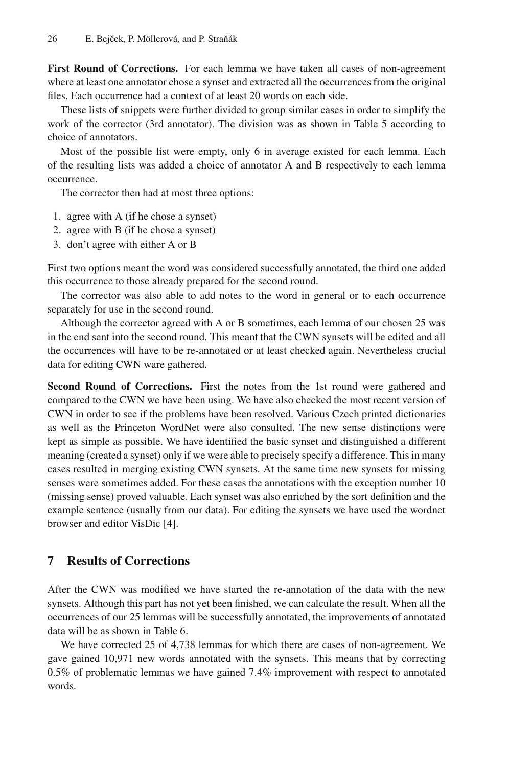**First Round of Corrections.** For each lemma we have taken all cases of non-agreement where at least one annotator chose a synset and extracted all the occurrences from the original files. Each occurrence had a context of at least 20 words on each side.

These lists of snippets were further divided to group similar cases in order to simplify the work of the corrector (3rd annotator). The division was as shown in Table 5 according to choice of annotators.

Most of the possible list were empty, only 6 in average existed for each lemma. Each of the resulting lists was added a choice of annotator A and B respectively to each lemma occurrence.

The corrector then had at most three options:

- 1. agree with A (if he chose a synset)
- 2. agree with B (if he chose a synset)
- 3. don't agree with either A or B

First two options meant the word was considered successfully annotated, the third one added this occurrence to those already prepared for the second round.

The corrector was also able to add notes to the word in general or to each occurrence separately for use in the second round.

Although the corrector agreed with A or B sometimes, each lemma of our chosen 25 was in the end sent into the second round. This meant that the CWN synsets will be edited and all the occurrences will have to be re-annotated or at least checked again. Nevertheless crucial data for editing CWN ware gathered.

**Second Round of Corrections.** First the notes from the 1st round were gathered and compared to the CWN we have been using. We have also checked the most recent version of CWN in order to see if the problems have been resolved. Various Czech printed dictionaries as well as the Princeton WordNet were also consulted. The new sense distinctions were kept as simple as possible. We have identified the basic synset and distinguished a different meaning (created a synset) only if we were able to precisely specify a difference. This in many cases resulted in merging existing CWN synsets. At the same time new synsets for missing senses were sometimes added. For these cases the annotations with the exception number 10 (missing sense) proved valuable. Each synset was also enriched by the sort definition and the example sentence (usually from our data). For editing the synsets we have used the wordnet browser and editor VisDic [4].

## **7 Results of Corrections**

After the CWN was modified we have started the re-annotation of the data with the new synsets. Although this part has not yet been finished, we can calculate the result. When all the occurrences of our 25 lemmas will be successfully annotated, the improvements of annotated data will be as shown in Table 6.

We have corrected 25 of 4,738 lemmas for which there are cases of non-agreement. We gave gained 10,971 new words annotated with the synsets. This means that by correcting 0.5% of problematic lemmas we have gained 7.4% improvement with respect to annotated words.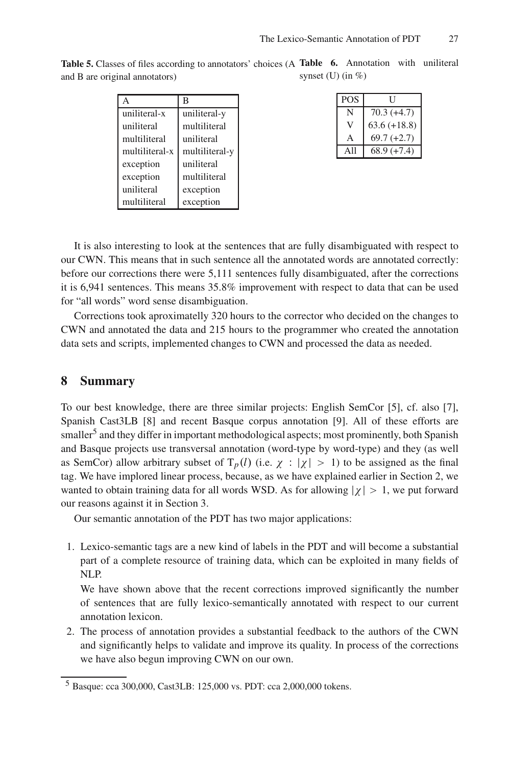|                | B              |
|----------------|----------------|
| uniliteral-x   | uniliteral-y   |
| uniliteral     | multiliteral   |
| multiliteral   | uniliteral     |
| multiliteral-x | multiliteral-y |
| exception      | uniliteral     |
| exception      | multiliteral   |
| uniliteral     | exception      |
| multiliteral   | exception      |

**Table 5.** Classes of files according to annotators' choices (A **Table 6.** Annotation with uniliteral and B are original annotators) synset (U) (in  $%$ )

| <b>POS</b> | Н              |
|------------|----------------|
| N          | $70.3 (+4.7)$  |
|            | $63.6 (+18.8)$ |
| A          | $69.7 (+2.7)$  |
| All        | $68.9 (+7.4)$  |

It is also interesting to look at the sentences that are fully disambiguated with respect to our CWN. This means that in such sentence all the annotated words are annotated correctly: before our corrections there were 5,111 sentences fully disambiguated, after the corrections it is 6,941 sentences. This means 35.8% improvement with respect to data that can be used for "all words" word sense disambiguation.

Corrections took aproximatelly 320 hours to the corrector who decided on the changes to CWN and annotated the data and 215 hours to the programmer who created the annotation data sets and scripts, implemented changes to CWN and processed the data as needed.

#### **8 Summary**

To our best knowledge, there are three similar projects: English SemCor [5], cf. also [7], Spanish Cast3LB [8] and recent Basque corpus annotation [9]. All of these efforts are smaller<sup>5</sup> and they differ in important methodological aspects; most prominently, both Spanish and Basque projects use transversal annotation (word-type by word-type) and they (as well as SemCor) allow arbitrary subset of  $T_p(l)$  (i.e.  $\chi : |\chi| > 1$ ) to be assigned as the final tag. We have implored linear process, because, as we have explained earlier in Section 2, we wanted to obtain training data for all words WSD. As for allowing  $|\chi| > 1$ , we put forward our reasons against it in Section 3.

Our semantic annotation of the PDT has two major applications:

1. Lexico-semantic tags are a new kind of labels in the PDT and will become a substantial part of a complete resource of training data, which can be exploited in many fields of NLP.

We have shown above that the recent corrections improved significantly the number of sentences that are fully lexico-semantically annotated with respect to our current annotation lexicon.

2. The process of annotation provides a substantial feedback to the authors of the CWN and significantly helps to validate and improve its quality. In process of the corrections we have also begun improving CWN on our own.

<sup>5</sup> Basque: cca 300,000, Cast3LB: 125,000 vs. PDT: cca 2,000,000 tokens.